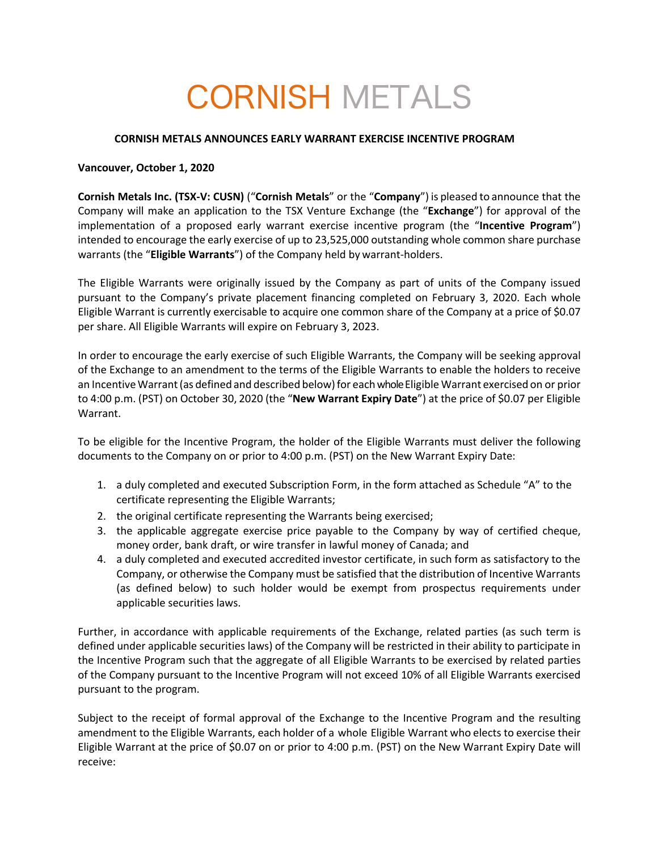# CORNISH METALS

### **CORNISH METALS ANNOUNCES EARLY WARRANT EXERCISE INCENTIVE PROGRAM**

### **Vancouver, October 1, 2020**

**Cornish Metals Inc. (TSX-V: CUSN)** ("**Cornish Metals**" or the "**Company**") is pleased to announce that the Company will make an application to the TSX Venture Exchange (the "**Exchange**") for approval of the implementation of a proposed early warrant exercise incentive program (the "**Incentive Program**") intended to encourage the early exercise of up to 23,525,000 outstanding whole common share purchase warrants (the "**Eligible Warrants**") of the Company held by warrant-holders.

The Eligible Warrants were originally issued by the Company as part of units of the Company issued pursuant to the Company's private placement financing completed on February 3, 2020. Each whole Eligible Warrant is currently exercisable to acquire one common share of the Company at a price of \$0.07 per share. All Eligible Warrants will expire on February 3, 2023.

In order to encourage the early exercise of such Eligible Warrants, the Company will be seeking approval of the Exchange to an amendment to the terms of the Eligible Warrants to enable the holders to receive an Incentive Warrant (as defined and described below) for each whole Eligible Warrant exercised on or prior to 4:00 p.m. (PST) on October 30, 2020 (the "**New Warrant Expiry Date**") at the price of \$0.07 per Eligible Warrant.

To be eligible for the Incentive Program, the holder of the Eligible Warrants must deliver the following documents to the Company on or prior to 4:00 p.m. (PST) on the New Warrant Expiry Date:

- 1. a duly completed and executed Subscription Form, in the form attached as Schedule "A" to the certificate representing the Eligible Warrants;
- 2. the original certificate representing the Warrants being exercised;
- 3. the applicable aggregate exercise price payable to the Company by way of certified cheque, money order, bank draft, or wire transfer in lawful money of Canada; and
- 4. a duly completed and executed accredited investor certificate, in such form as satisfactory to the Company, or otherwise the Company must be satisfied that the distribution of Incentive Warrants (as defined below) to such holder would be exempt from prospectus requirements under applicable securities laws.

Further, in accordance with applicable requirements of the Exchange, related parties (as such term is defined under applicable securities laws) of the Company will be restricted in their ability to participate in the Incentive Program such that the aggregate of all Eligible Warrants to be exercised by related parties of the Company pursuant to the Incentive Program will not exceed 10% of all Eligible Warrants exercised pursuant to the program.

Subject to the receipt of formal approval of the Exchange to the Incentive Program and the resulting amendment to the Eligible Warrants, each holder of a whole Eligible Warrant who elects to exercise their Eligible Warrant at the price of \$0.07 on or prior to 4:00 p.m. (PST) on the New Warrant Expiry Date will receive: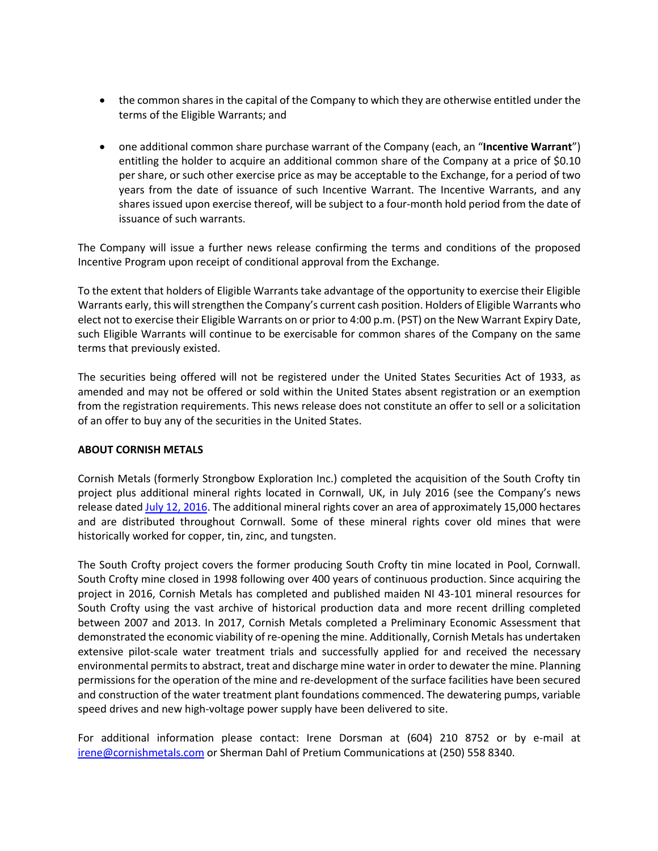- the common shares in the capital of the Company to which they are otherwise entitled under the terms of the Eligible Warrants; and
- one additional common share purchase warrant of the Company (each, an "**Incentive Warrant**") entitling the holder to acquire an additional common share of the Company at a price of \$0.10 per share, or such other exercise price as may be acceptable to the Exchange, for a period of two years from the date of issuance of such Incentive Warrant. The Incentive Warrants, and any shares issued upon exercise thereof, will be subject to a four-month hold period from the date of issuance of such warrants.

The Company will issue a further news release confirming the terms and conditions of the proposed Incentive Program upon receipt of conditional approval from the Exchange.

To the extent that holders of Eligible Warrants take advantage of the opportunity to exercise their Eligible Warrants early, this will strengthen the Company's current cash position. Holders of Eligible Warrants who elect not to exercise their Eligible Warrants on or prior to 4:00 p.m. (PST) on the New Warrant Expiry Date, such Eligible Warrants will continue to be exercisable for common shares of the Company on the same terms that previously existed.

The securities being offered will not be registered under the United States Securities Act of 1933, as amended and may not be offered or sold within the United States absent registration or an exemption from the registration requirements. This news release does not constitute an offer to sell or a solicitation of an offer to buy any of the securities in the United States.

## **ABOUT CORNISH METALS**

Cornish Metals (formerly Strongbow Exploration Inc.) completed the acquisition of the South Crofty tin project plus additional mineral rights located in Cornwall, UK, in July 2016 (see the Company's news release dated July 12, 2016. The additional mineral rights cover an area of approximately 15,000 hectares and are distributed throughout Cornwall. Some of these mineral rights cover old mines that were historically worked for copper, tin, zinc, and tungsten.

The South Crofty project covers the former producing South Crofty tin mine located in Pool, Cornwall. South Crofty mine closed in 1998 following over 400 years of continuous production. Since acquiring the project in 2016, Cornish Metals has completed and published maiden NI 43-101 mineral resources for South Crofty using the vast archive of historical production data and more recent drilling completed between 2007 and 2013. In 2017, Cornish Metals completed a Preliminary Economic Assessment that demonstrated the economic viability of re-opening the mine. Additionally, Cornish Metals has undertaken extensive pilot-scale water treatment trials and successfully applied for and received the necessary environmental permits to abstract, treat and discharge mine water in order to dewater the mine. Planning permissions for the operation of the mine and re-development of the surface facilities have been secured and construction of the water treatment plant foundations commenced. The dewatering pumps, variable speed drives and new high-voltage power supply have been delivered to site.

For additional information please contact: Irene Dorsman at (604) 210 8752 or by e-mail at irene@cornishmetals.com or Sherman Dahl of Pretium Communications at (250) 558 8340.